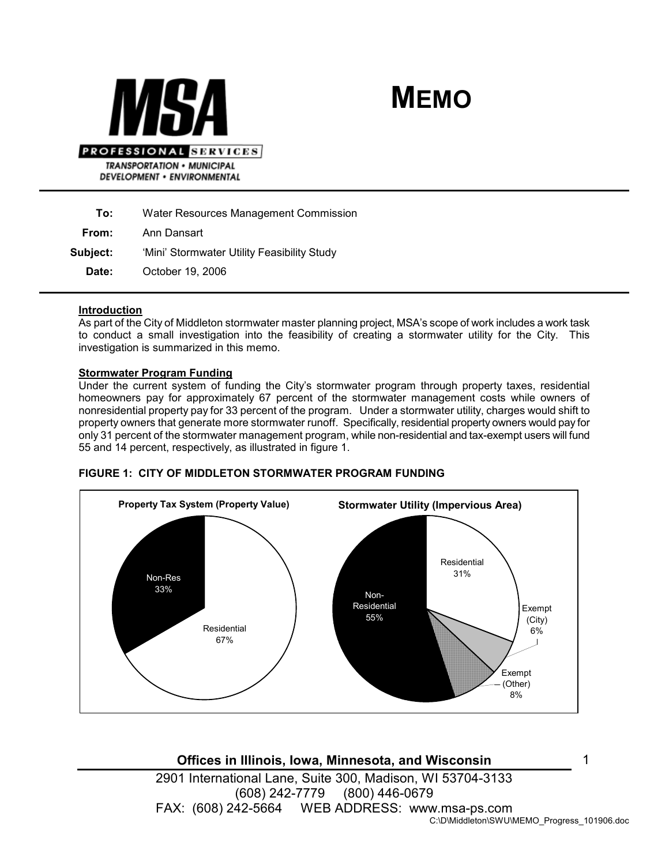



To: Water Resources Management Commission

From: Ann Dansart

Subject: 'Mini' Stormwater Utility Feasibility Study

Date: October 19, 2006

## Introduction

As part of the City of Middleton stormwater master planning project, MSA's scope of work includes a work task to conduct a small investigation into the feasibility of creating a stormwater utility for the City. This investigation is summarized in this memo.

## Stormwater Program Funding

Under the current system of funding the City's stormwater program through property taxes, residential homeowners pay for approximately 67 percent of the stormwater management costs while owners of nonresidential property pay for 33 percent of the program. Under a stormwater utility, charges would shift to property owners that generate more stormwater runoff. Specifically, residential property owners would pay for only 31 percent of the stormwater management program, while non-residential and tax-exempt users will fund 55 and 14 percent, respectively, as illustrated in figure 1.



#### FIGURE 1: CITY OF MIDDLETON STORMWATER PROGRAM FUNDING

Offices in Illinois, Iowa, Minnesota, and Wisconsin 2901 International Lane, Suite 300, Madison, WI 53704-3133 (608) 242-7779 (800) 446-0679 FAX: (608) 242-5664 WEB ADDRESS: www.msa-ps.com C:\D\Middleton\SWU\MEMO\_Progress\_101906.doc 1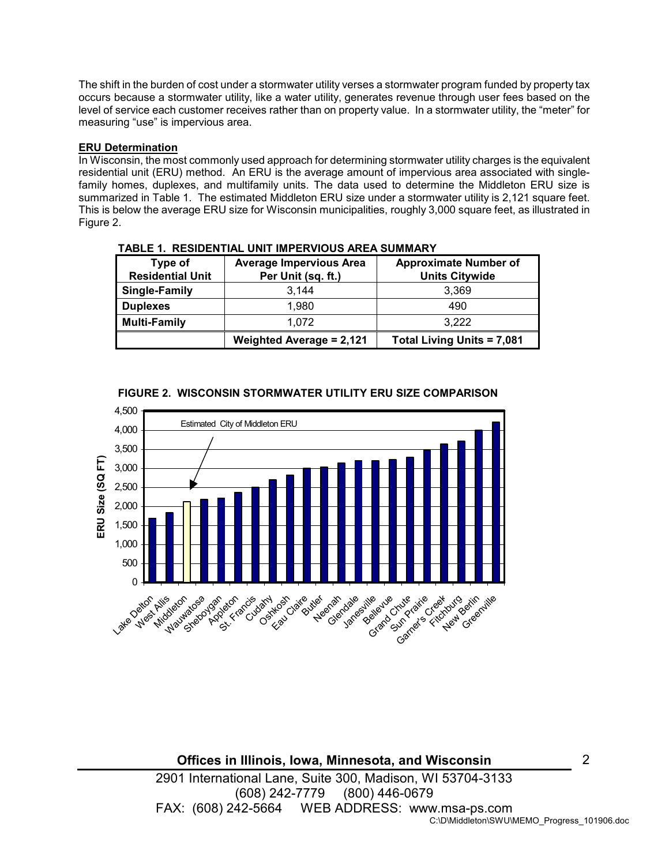The shift in the burden of cost under a stormwater utility verses a stormwater program funded by property tax occurs because a stormwater utility, like a water utility, generates revenue through user fees based on the level of service each customer receives rather than on property value. In a stormwater utility, the "meter" for measuring "use" is impervious area.

# ERU Determination

In Wisconsin, the most commonly used approach for determining stormwater utility charges is the equivalent residential unit (ERU) method. An ERU is the average amount of impervious area associated with singlefamily homes, duplexes, and multifamily units. The data used to determine the Middleton ERU size is summarized in Table 1. The estimated Middleton ERU size under a stormwater utility is 2,121 square feet. This is below the average ERU size for Wisconsin municipalities, roughly 3,000 square feet, as illustrated in Figure 2.

| Type of<br><b>Residential Unit</b> | <b>Average Impervious Area</b><br>Per Unit (sq. ft.) | <b>Approximate Number of</b><br><b>Units Citywide</b> |
|------------------------------------|------------------------------------------------------|-------------------------------------------------------|
| Single-Family                      | 3.144                                                | 3.369                                                 |
| <b>Duplexes</b>                    | 1.980                                                | 490                                                   |
| Multi-Family                       | 1.072                                                | 3.222                                                 |
|                                    | <b>Weighted Average = 2,121</b>                      | <b>Total Living Units = 7,081</b>                     |

|  | <b>TABLE 1. RESIDENTIAL UNIT IMPERVIOUS AREA SUMMARY</b> |
|--|----------------------------------------------------------|
|  |                                                          |



# FIGURE 2. WISCONSIN STORMWATER UTILITY ERU SIZE COMPARISON

Offices in Illinois, Iowa, Minnesota, and Wisconsin 2901 International Lane, Suite 300, Madison, WI 53704-3133 (608) 242-7779 (800) 446-0679 FAX: (608) 242-5664 WEB ADDRESS: www.msa-ps.com C:\D\Middleton\SWU\MEMO\_Progress\_101906.doc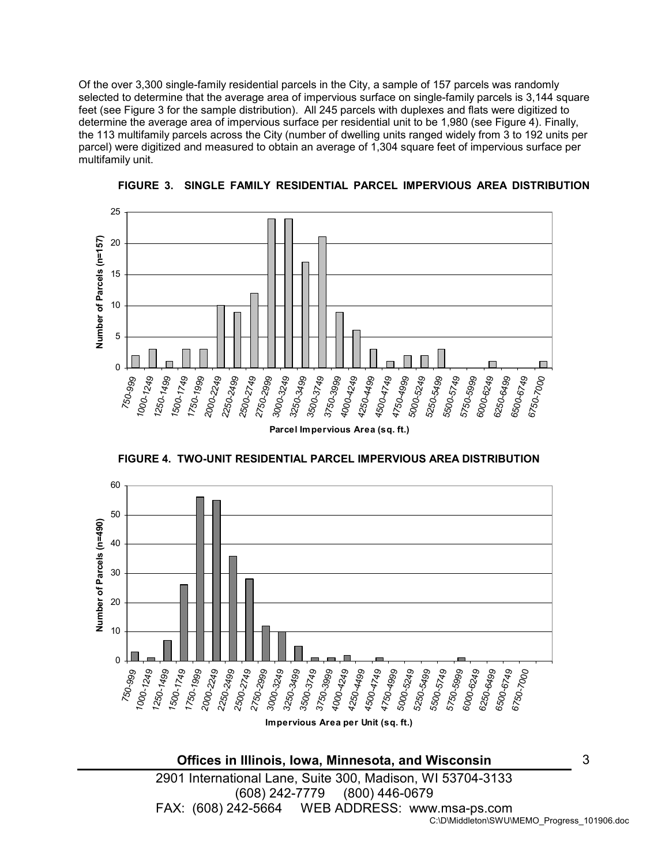Of the over 3,300 single-family residential parcels in the City, a sample of 157 parcels was randomly selected to determine that the average area of impervious surface on single-family parcels is 3,144 square feet (see Figure 3 for the sample distribution). All 245 parcels with duplexes and flats were digitized to determine the average area of impervious surface per residential unit to be 1,980 (see Figure 4). Finally, the 113 multifamily parcels across the City (number of dwelling units ranged widely from 3 to 192 units per parcel) were digitized and measured to obtain an average of 1,304 square feet of impervious surface per multifamily unit.



FIGURE 3. SINGLE FAMILY RESIDENTIAL PARCEL IMPERVIOUS AREA DISTRIBUTION



FIGURE 4. TWO-UNIT RESIDENTIAL PARCEL IMPERVIOUS AREA DISTRIBUTION

Offices in Illinois, Iowa, Minnesota, and Wisconsin

3

2901 International Lane, Suite 300, Madison, WI 53704-3133 (608) 242-7779 (800) 446-0679 FAX: (608) 242-5664 WEB ADDRESS: www.msa-ps.com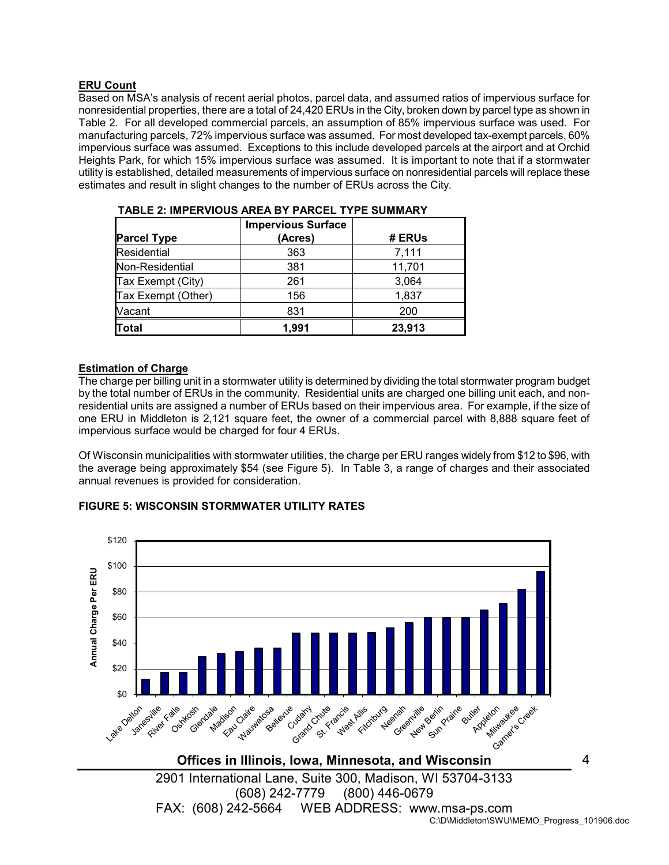## ERU Count

Based on MSA's analysis of recent aerial photos, parcel data, and assumed ratios of impervious surface for nonresidential properties, there are a total of 24,420 ERUs in the City, broken down by parcel type as shown in Table 2. For all developed commercial parcels, an assumption of 85% impervious surface was used. For manufacturing parcels, 72% impervious surface was assumed. For most developed tax-exempt parcels, 60% impervious surface was assumed. Exceptions to this include developed parcels at the airport and at Orchid Heights Park, for which 15% impervious surface was assumed. It is important to note that if a stormwater utility is established, detailed measurements of impervious surface on nonresidential parcels will replace these estimates and result in slight changes to the number of ERUs across the City.

| <b>Parcel Type</b> | <b>Impervious Surface</b><br>(Acres) | # ERUs |
|--------------------|--------------------------------------|--------|
| <b>Residential</b> | 363                                  | 7,111  |
| Non-Residential    | 381                                  | 11,701 |
| Tax Exempt (City)  | 261                                  | 3,064  |
| Tax Exempt (Other) | 156                                  | 1,837  |
| Vacant             | 831                                  | 200    |
| <b>Total</b>       | 1,991                                | 23,913 |

| TABLE 2: IMPERVIOUS AREA BY PARCEL TYPE SUMMARY |  |  |
|-------------------------------------------------|--|--|
|                                                 |  |  |

## Estimation of Charge

The charge per billing unit in a stormwater utility is determined by dividing the total stormwater program budget by the total number of ERUs in the community. Residential units are charged one billing unit each, and nonresidential units are assigned a number of ERUs based on their impervious area. For example, if the size of one ERU in Middleton is 2,121 square feet, the owner of a commercial parcel with 8,888 square feet of impervious surface would be charged for four 4 ERUs.

Of Wisconsin municipalities with stormwater utilities, the charge per ERU ranges widely from \$12 to \$96, with the average being approximately \$54 (see Figure 5). In Table 3, a range of charges and their associated annual revenues is provided for consideration.

#### FIGURE 5: WISCONSIN STORMWATER UTILITY RATES